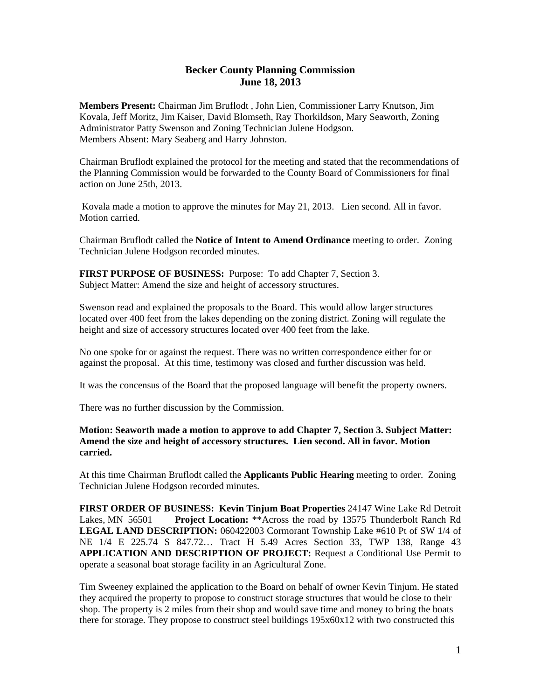## **Becker County Planning Commission June 18, 2013**

**Members Present:** Chairman Jim Bruflodt , John Lien, Commissioner Larry Knutson, Jim Kovala, Jeff Moritz, Jim Kaiser, David Blomseth, Ray Thorkildson, Mary Seaworth, Zoning Administrator Patty Swenson and Zoning Technician Julene Hodgson. Members Absent: Mary Seaberg and Harry Johnston.

Chairman Bruflodt explained the protocol for the meeting and stated that the recommendations of the Planning Commission would be forwarded to the County Board of Commissioners for final action on June 25th, 2013.

 Kovala made a motion to approve the minutes for May 21, 2013. Lien second. All in favor. Motion carried.

Chairman Bruflodt called the **Notice of Intent to Amend Ordinance** meeting to order. Zoning Technician Julene Hodgson recorded minutes.

**FIRST PURPOSE OF BUSINESS:** Purpose: To add Chapter 7, Section 3. Subject Matter: Amend the size and height of accessory structures.

Swenson read and explained the proposals to the Board. This would allow larger structures located over 400 feet from the lakes depending on the zoning district. Zoning will regulate the height and size of accessory structures located over 400 feet from the lake.

No one spoke for or against the request. There was no written correspondence either for or against the proposal. At this time, testimony was closed and further discussion was held.

It was the concensus of the Board that the proposed language will benefit the property owners.

There was no further discussion by the Commission.

## **Motion: Seaworth made a motion to approve to add Chapter 7, Section 3. Subject Matter: Amend the size and height of accessory structures. Lien second. All in favor. Motion carried.**

At this time Chairman Bruflodt called the **Applicants Public Hearing** meeting to order. Zoning Technician Julene Hodgson recorded minutes.

**FIRST ORDER OF BUSINESS: Kevin Tinjum Boat Properties** 24147 Wine Lake Rd Detroit Lakes, MN 56501 **Project Location:** \*\*Across the road by 13575 Thunderbolt Ranch Rd **LEGAL LAND DESCRIPTION:** 060422003 Cormorant Township Lake #610 Pt of SW 1/4 of NE 1/4 E 225.74 S 847.72… Tract H 5.49 Acres Section 33, TWP 138, Range 43 **APPLICATION AND DESCRIPTION OF PROJECT:** Request a Conditional Use Permit to operate a seasonal boat storage facility in an Agricultural Zone.

Tim Sweeney explained the application to the Board on behalf of owner Kevin Tinjum. He stated they acquired the property to propose to construct storage structures that would be close to their shop. The property is 2 miles from their shop and would save time and money to bring the boats there for storage. They propose to construct steel buildings 195x60x12 with two constructed this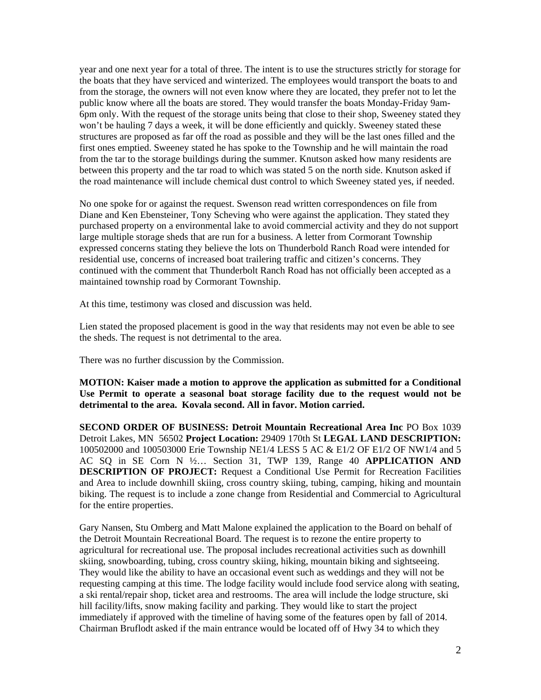year and one next year for a total of three. The intent is to use the structures strictly for storage for the boats that they have serviced and winterized. The employees would transport the boats to and from the storage, the owners will not even know where they are located, they prefer not to let the public know where all the boats are stored. They would transfer the boats Monday-Friday 9am-6pm only. With the request of the storage units being that close to their shop, Sweeney stated they won't be hauling 7 days a week, it will be done efficiently and quickly. Sweeney stated these structures are proposed as far off the road as possible and they will be the last ones filled and the first ones emptied. Sweeney stated he has spoke to the Township and he will maintain the road from the tar to the storage buildings during the summer. Knutson asked how many residents are between this property and the tar road to which was stated 5 on the north side. Knutson asked if the road maintenance will include chemical dust control to which Sweeney stated yes, if needed.

No one spoke for or against the request. Swenson read written correspondences on file from Diane and Ken Ebensteiner, Tony Scheving who were against the application. They stated they purchased property on a environmental lake to avoid commercial activity and they do not support large multiple storage sheds that are run for a business. A letter from Cormorant Township expressed concerns stating they believe the lots on Thunderbold Ranch Road were intended for residential use, concerns of increased boat trailering traffic and citizen's concerns. They continued with the comment that Thunderbolt Ranch Road has not officially been accepted as a maintained township road by Cormorant Township.

At this time, testimony was closed and discussion was held.

Lien stated the proposed placement is good in the way that residents may not even be able to see the sheds. The request is not detrimental to the area.

There was no further discussion by the Commission.

**MOTION: Kaiser made a motion to approve the application as submitted for a Conditional Use Permit to operate a seasonal boat storage facility due to the request would not be detrimental to the area. Kovala second. All in favor. Motion carried.** 

**SECOND ORDER OF BUSINESS: Detroit Mountain Recreational Area Inc** PO Box 1039 Detroit Lakes, MN 56502 **Project Location:** 29409 170th St **LEGAL LAND DESCRIPTION:** 100502000 and 100503000 Erie Township NE1/4 LESS 5 AC & E1/2 OF E1/2 OF NW1/4 and 5 AC SQ in SE Corn N ½… Section 31, TWP 139, Range 40 **APPLICATION AND DESCRIPTION OF PROJECT:** Request a Conditional Use Permit for Recreation Facilities and Area to include downhill skiing, cross country skiing, tubing, camping, hiking and mountain biking. The request is to include a zone change from Residential and Commercial to Agricultural for the entire properties.

Gary Nansen, Stu Omberg and Matt Malone explained the application to the Board on behalf of the Detroit Mountain Recreational Board. The request is to rezone the entire property to agricultural for recreational use. The proposal includes recreational activities such as downhill skiing, snowboarding, tubing, cross country skiing, hiking, mountain biking and sightseeing. They would like the ability to have an occasional event such as weddings and they will not be requesting camping at this time. The lodge facility would include food service along with seating, a ski rental/repair shop, ticket area and restrooms. The area will include the lodge structure, ski hill facility/lifts, snow making facility and parking. They would like to start the project immediately if approved with the timeline of having some of the features open by fall of 2014. Chairman Bruflodt asked if the main entrance would be located off of Hwy 34 to which they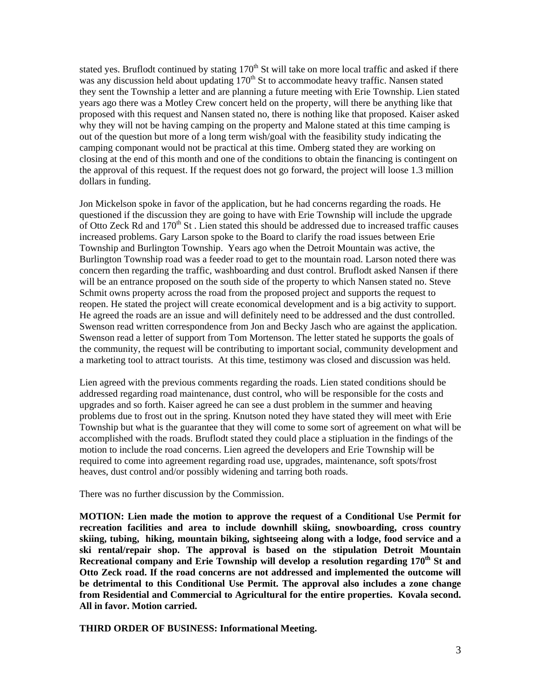stated yes. Bruflodt continued by stating 170<sup>th</sup> St will take on more local traffic and asked if there was any discussion held about updating 170<sup>th</sup> St to accommodate heavy traffic. Nansen stated they sent the Township a letter and are planning a future meeting with Erie Township. Lien stated years ago there was a Motley Crew concert held on the property, will there be anything like that proposed with this request and Nansen stated no, there is nothing like that proposed. Kaiser asked why they will not be having camping on the property and Malone stated at this time camping is out of the question but more of a long term wish/goal with the feasibility study indicating the camping componant would not be practical at this time. Omberg stated they are working on closing at the end of this month and one of the conditions to obtain the financing is contingent on the approval of this request. If the request does not go forward, the project will loose 1.3 million dollars in funding.

Jon Mickelson spoke in favor of the application, but he had concerns regarding the roads. He questioned if the discussion they are going to have with Erie Township will include the upgrade of Otto Zeck Rd and  $170<sup>th</sup>$  St. Lien stated this should be addressed due to increased traffic causes increased problems. Gary Larson spoke to the Board to clarify the road issues between Erie Township and Burlington Township. Years ago when the Detroit Mountain was active, the Burlington Township road was a feeder road to get to the mountain road. Larson noted there was concern then regarding the traffic, washboarding and dust control. Bruflodt asked Nansen if there will be an entrance proposed on the south side of the property to which Nansen stated no. Steve Schmit owns property across the road from the proposed project and supports the request to reopen. He stated the project will create economical development and is a big activity to support. He agreed the roads are an issue and will definitely need to be addressed and the dust controlled. Swenson read written correspondence from Jon and Becky Jasch who are against the application. Swenson read a letter of support from Tom Mortenson. The letter stated he supports the goals of the community, the request will be contributing to important social, community development and a marketing tool to attract tourists. At this time, testimony was closed and discussion was held.

Lien agreed with the previous comments regarding the roads. Lien stated conditions should be addressed regarding road maintenance, dust control, who will be responsible for the costs and upgrades and so forth. Kaiser agreed he can see a dust problem in the summer and heaving problems due to frost out in the spring. Knutson noted they have stated they will meet with Erie Township but what is the guarantee that they will come to some sort of agreement on what will be accomplished with the roads. Bruflodt stated they could place a stipluation in the findings of the motion to include the road concerns. Lien agreed the developers and Erie Township will be required to come into agreement regarding road use, upgrades, maintenance, soft spots/frost heaves, dust control and/or possibly widening and tarring both roads.

There was no further discussion by the Commission.

**MOTION: Lien made the motion to approve the request of a Conditional Use Permit for recreation facilities and area to include downhill skiing, snowboarding, cross country skiing, tubing, hiking, mountain biking, sightseeing along with a lodge, food service and a ski rental/repair shop. The approval is based on the stipulation Detroit Mountain**  Recreational company and Erie Township will develop a resolution regarding 170<sup>th</sup> St and **Otto Zeck road. If the road concerns are not addressed and implemented the outcome will be detrimental to this Conditional Use Permit. The approval also includes a zone change from Residential and Commercial to Agricultural for the entire properties. Kovala second. All in favor. Motion carried.** 

**THIRD ORDER OF BUSINESS: Informational Meeting.**